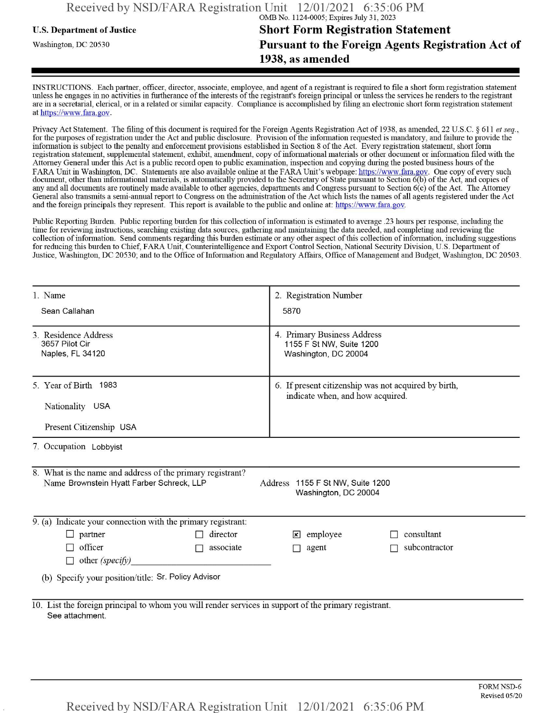# **u.s.** Department ofJustice **Short Form Registration Statement** Washington, dc <sup>20530</sup>**Pursuant to the Foreign Agents Registration Act of 1938, as amended**

INSTRUCTIONS. Each partner, officer, director, associate, employee, and agent of a registrant is required to file a short form registration statement unless he engages in no activities in furtherance ofthe interests ofthe registrant's foreign principal or unless the services he renders to the registrant are in a secretarial, clerical, or in a related or similar capacity. Compliance is accomplished by filing an electronic short form registration statement at https://www.fara.gov.

Privacy Act Statement. The filing of this document is required for the Foreign Agents Registration Act of 1938, as amended, 22 U.S.C. § 611 et seq., for the purposes ofregistration under the Act and public disclosure. Provision ofthe information requested is mandatory, and failure to provide the information is subject to the penalty and enforcement provisions established in Section 8 ofthe Act. Every registration statement, short form registration statement, supplemental statement, exhibit, amendment, copy ofinformational materials or other document or information filed with the Attorney General under this Act is a public record open to public examination, inspection and copying during the posted business hours of the FARA Unit in Washington, DC. Statements are also available online at the FARA Unit's webpage: https://www.fara.gov. One copy of every such document, other than informational materials, is automatically provided to the Secretary of State pursuant to Section 6(b) ofthe Act, and copies of any and all documents are routinely made available to other agencies, departments and Congress pursuant to Section 6(c) ofthe Act. The Attorney General also transmits a semi-annual report to Congress on the administration ofthe Act which lists the names of all agents registered under the Act and the foreign principals they represent. This report is available to the public and online at: https://www.fara.gov.

Public Reporting Burden. Public reporting burden for this collection ofinformation is estimated to average .23 hours per response, including the time for reviewing instructions, searching existing data sources, gathering and maintaining the data needed, and completing and reviewing the collection of information. Send comments regarding this burden estimate or any other aspect of this collection of information, including suggestions for reducing this burden to Chief, FARA Unit, Counterintelligence and Export Control Section, National Security Division, U.S. Department of Justice, Washington, DC 20530; and to the Office of Information and Regulatory Affairs, Office of Management and Budget, Washington, DC 20503.

| 1. Name                                                                                                                                                             | 2. Registration Number                                                                   |  |  |  |  |  |  |  |
|---------------------------------------------------------------------------------------------------------------------------------------------------------------------|------------------------------------------------------------------------------------------|--|--|--|--|--|--|--|
| Sean Callahan                                                                                                                                                       | 5870                                                                                     |  |  |  |  |  |  |  |
| 3. Residence Address<br>3657 Pilot Cir<br>Naples, FL 34120                                                                                                          | 4. Primary Business Address<br>1155 F St NW, Suite 1200<br>Washington, DC 20004          |  |  |  |  |  |  |  |
| 5. Year of Birth 1983                                                                                                                                               | 6. If present citizenship was not acquired by birth,<br>indicate when, and how acquired. |  |  |  |  |  |  |  |
| Nationality USA                                                                                                                                                     |                                                                                          |  |  |  |  |  |  |  |
| Present Citizenship USA                                                                                                                                             |                                                                                          |  |  |  |  |  |  |  |
| 7. Occupation Lobbyist                                                                                                                                              |                                                                                          |  |  |  |  |  |  |  |
| 8. What is the name and address of the primary registrant?<br>Name Brownstein Hyatt Farber Schreck, LLP<br>Address 1155 F St NW, Suite 1200<br>Washington, DC 20004 |                                                                                          |  |  |  |  |  |  |  |
| 9. (a) Indicate your connection with the primary registrant:                                                                                                        |                                                                                          |  |  |  |  |  |  |  |
| director<br>$\Box$ partner<br>П                                                                                                                                     | $\mathbf{\times}$ employee<br>consultant                                                 |  |  |  |  |  |  |  |
| officer<br>associate<br>$\sim$                                                                                                                                      | subcontractor<br>agent                                                                   |  |  |  |  |  |  |  |
| $\Box$ other (specify)                                                                                                                                              |                                                                                          |  |  |  |  |  |  |  |
| (b) Specify your position/title: Sr. Policy Advisor                                                                                                                 |                                                                                          |  |  |  |  |  |  |  |
| 10. List the foreign principal to whom you will render services in support of the primary registrant.<br>See attachment.                                            |                                                                                          |  |  |  |  |  |  |  |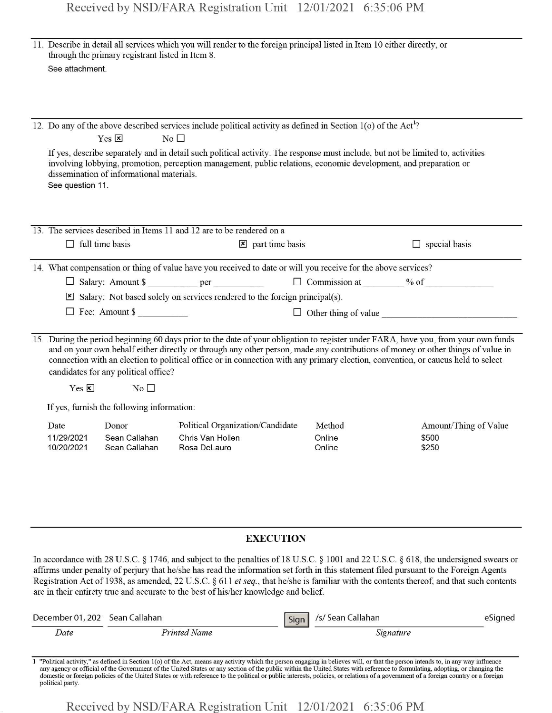| 11. Describe in detail all services which you will render to the foreign principal listed in Item 10 either directly, or<br>through the primary registrant listed in Item 8.<br>See attachment.                                                                                                                                                                                                                                                   |                                                             |                                                                                                                                                                                                                                                                                                                                                                                                                                                                                                                    |      |                            |                                         |         |  |  |
|---------------------------------------------------------------------------------------------------------------------------------------------------------------------------------------------------------------------------------------------------------------------------------------------------------------------------------------------------------------------------------------------------------------------------------------------------|-------------------------------------------------------------|--------------------------------------------------------------------------------------------------------------------------------------------------------------------------------------------------------------------------------------------------------------------------------------------------------------------------------------------------------------------------------------------------------------------------------------------------------------------------------------------------------------------|------|----------------------------|-----------------------------------------|---------|--|--|
|                                                                                                                                                                                                                                                                                                                                                                                                                                                   |                                                             |                                                                                                                                                                                                                                                                                                                                                                                                                                                                                                                    |      |                            |                                         |         |  |  |
| 12. Do any of the above described services include political activity as defined in Section 1(o) of the Act <sup>1</sup> ?<br>$Yes \nvert x$<br>No <sub>1</sub>                                                                                                                                                                                                                                                                                   |                                                             |                                                                                                                                                                                                                                                                                                                                                                                                                                                                                                                    |      |                            |                                         |         |  |  |
| See question 11.                                                                                                                                                                                                                                                                                                                                                                                                                                  | dissemination of informational materials.                   | If yes, describe separately and in detail such political activity. The response must include, but not be limited to, activities<br>involving lobbying, promotion, perception management, public relations, economic development, and preparation or                                                                                                                                                                                                                                                                |      |                            |                                         |         |  |  |
|                                                                                                                                                                                                                                                                                                                                                                                                                                                   |                                                             | 13. The services described in Items 11 and 12 are to be rendered on a                                                                                                                                                                                                                                                                                                                                                                                                                                              |      |                            |                                         |         |  |  |
|                                                                                                                                                                                                                                                                                                                                                                                                                                                   | $\Box$ full time basis<br>$\mathbf{\times}$ part time basis |                                                                                                                                                                                                                                                                                                                                                                                                                                                                                                                    |      |                            | $\Box$ special basis                    |         |  |  |
|                                                                                                                                                                                                                                                                                                                                                                                                                                                   |                                                             | 14. What compensation or thing of value have you received to date or will you receive for the above services?                                                                                                                                                                                                                                                                                                                                                                                                      |      |                            |                                         |         |  |  |
|                                                                                                                                                                                                                                                                                                                                                                                                                                                   |                                                             |                                                                                                                                                                                                                                                                                                                                                                                                                                                                                                                    |      |                            |                                         |         |  |  |
|                                                                                                                                                                                                                                                                                                                                                                                                                                                   |                                                             | Salary: Not based solely on services rendered to the foreign principal(s).                                                                                                                                                                                                                                                                                                                                                                                                                                         |      |                            |                                         |         |  |  |
|                                                                                                                                                                                                                                                                                                                                                                                                                                                   | Fee: Amount \$                                              |                                                                                                                                                                                                                                                                                                                                                                                                                                                                                                                    |      |                            | $\Box$ Other thing of value             |         |  |  |
| 15. During the period beginning 60 days prior to the date of your obligation to register under FARA, have you, from your own funds<br>and on your own behalf either directly or through any other person, made any contributions of money or other things of value in<br>connection with an election to political office or in connection with any primary election, convention, or caucus held to select<br>candidates for any political office? |                                                             |                                                                                                                                                                                                                                                                                                                                                                                                                                                                                                                    |      |                            |                                         |         |  |  |
| $Yes \n  \nabla$                                                                                                                                                                                                                                                                                                                                                                                                                                  | $\rm No$ $\Box$                                             |                                                                                                                                                                                                                                                                                                                                                                                                                                                                                                                    |      |                            |                                         |         |  |  |
| If yes, furnish the following information:                                                                                                                                                                                                                                                                                                                                                                                                        |                                                             |                                                                                                                                                                                                                                                                                                                                                                                                                                                                                                                    |      |                            |                                         |         |  |  |
| Date<br>10/20/2021                                                                                                                                                                                                                                                                                                                                                                                                                                | Donor<br>11/29/2021 Sean Callahan<br>Sean Callahan          | Political Organization/Candidate<br>Chris Van Hollen in de de de de la contra<br>Rosa DeLauro                                                                                                                                                                                                                                                                                                                                                                                                                      |      | Method<br>Online<br>Online | Amount/Thing of Value<br>\$500<br>\$250 |         |  |  |
|                                                                                                                                                                                                                                                                                                                                                                                                                                                   |                                                             | <b>EXECUTION</b>                                                                                                                                                                                                                                                                                                                                                                                                                                                                                                   |      |                            |                                         |         |  |  |
|                                                                                                                                                                                                                                                                                                                                                                                                                                                   |                                                             | In accordance with 28 U.S.C. § 1746, and subject to the penalties of 18 U.S.C. § 1001 and 22 U.S.C. § 618, the undersigned swears or<br>affirms under penalty of perjury that he/she has read the information set forth in this statement filed pursuant to the Foreign Agents<br>Registration Act of 1938, as amended, 22 U.S.C. § 611 et seq., that he/she is familiar with the contents thereof, and that such contents<br>are in their entirety true and accurate to the best of his/her knowledge and belief. |      |                            |                                         |         |  |  |
| December 01, 202 Sean Callahan                                                                                                                                                                                                                                                                                                                                                                                                                    |                                                             |                                                                                                                                                                                                                                                                                                                                                                                                                                                                                                                    | Sign | /s/ Sean Callahan          |                                         | eSigned |  |  |
| Date                                                                                                                                                                                                                                                                                                                                                                                                                                              |                                                             | <b>Printed Name</b>                                                                                                                                                                                                                                                                                                                                                                                                                                                                                                |      |                            | Signature                               |         |  |  |

1 "Political activity," as defined in Section 1(o) of the Act, means any activity which the person engaging in believes will, or that the person intends to, in any way influence any agency or official of the Government of political party.

Received by NSD/FARA Registration Unit 12/01/2021 6:35:06 PM